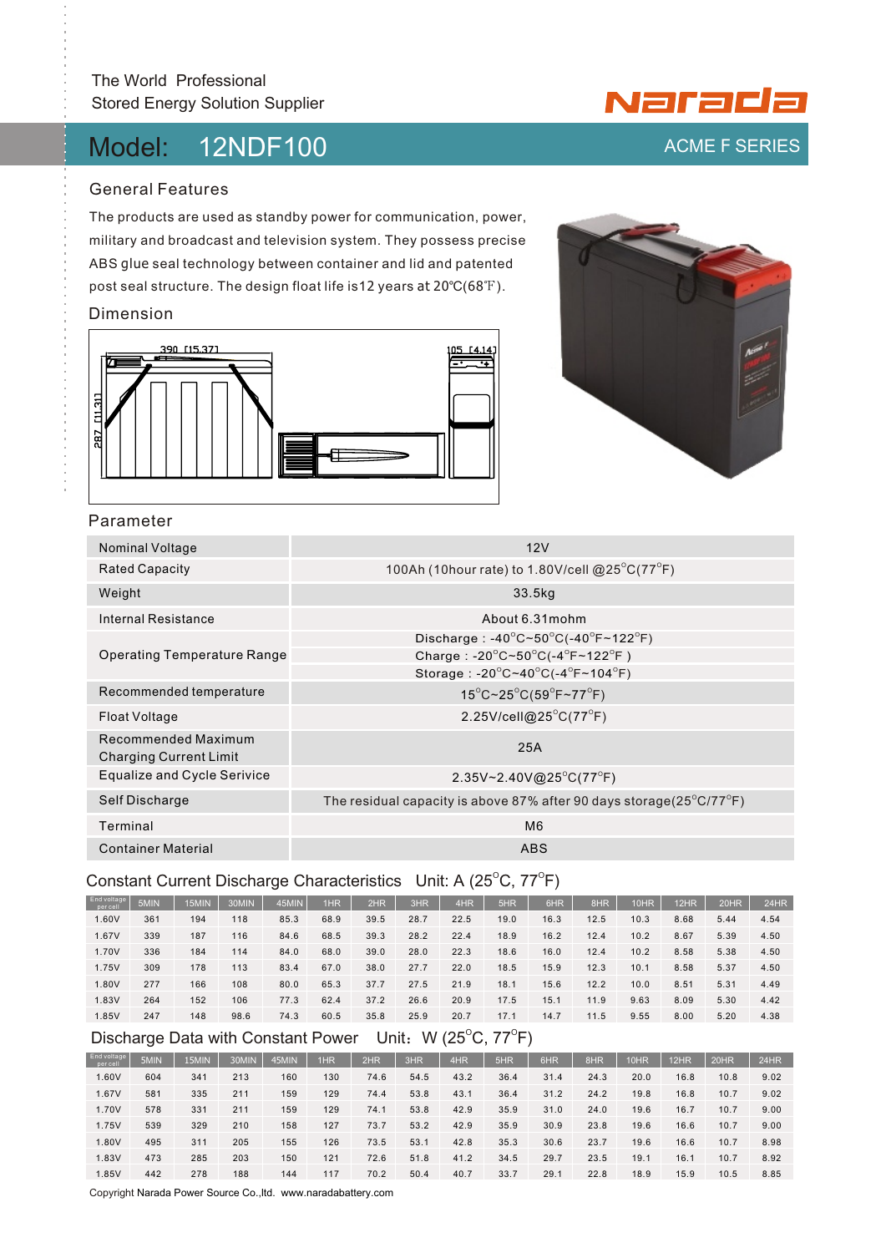# **Model:**  12NDF100

## General Features

The products are used as standby power for communication, power, military and broadcast and television system. They possess precise ABS glue seal technology between container and lid and patented post seal structure. The design float life is12 years at 20℃(68℉).

Dimension





### Parameter

| Nominal Voltage                                      | 12V                                                                                         |
|------------------------------------------------------|---------------------------------------------------------------------------------------------|
| <b>Rated Capacity</b>                                | 100Ah (10hour rate) to 1.80V/cell @25°C(77°F)                                               |
| Weight                                               | 33.5kg                                                                                      |
| Internal Resistance                                  | About 6.31 mohm                                                                             |
|                                                      | Discharge: $-40^{\circ}$ C $\sim$ 50 $^{\circ}$ C $(-40^{\circ}$ F $\sim$ 122 $^{\circ}$ F) |
| Operating Temperature Range                          | Charge: -20°C~50°C(-4°F~122°F)                                                              |
|                                                      | Storage: $-20^{\circ}$ C $\sim$ 40 $^{\circ}$ C $(-4^{\circ}$ F $\sim$ 104 $^{\circ}$ F)    |
| Recommended temperature                              | $15^{\circ}$ C~25 $^{\circ}$ C(59 $^{\circ}$ F~77 $^{\circ}$ F)                             |
| Float Voltage                                        | 2.25V/cell@25 $^{\circ}$ C(77 $^{\circ}$ F)                                                 |
| Recommended Maximum<br><b>Charging Current Limit</b> | 25A                                                                                         |
| Equalize and Cycle Serivice                          | 2.35V~2.40V@25 <sup>°</sup> C(77 <sup>°</sup> F)                                            |
| Self Discharge                                       | The residual capacity is above 87% after 90 days storage(25°C/77°F)                         |
| Terminal                                             | M <sub>6</sub>                                                                              |
| <b>Container Material</b>                            | <b>ABS</b>                                                                                  |

## Constant Current Discharge Characteristics Unit: A (25°C, 77°F)

| End voltage<br>per cell | 5MIN | 15MIN | 30MIN | 45MIN | 1HR  | 2HR  | 3HR  | 4HR  | 5HR  | 6HR  | 8HR  | 10HR | 12HR | 20HR | <b>24HR</b> |
|-------------------------|------|-------|-------|-------|------|------|------|------|------|------|------|------|------|------|-------------|
| 1.60V                   | 361  | 194   | 118   | 85.3  | 68.9 | 39.5 | 28.7 | 22.5 | 19.0 | 16.3 | 12.5 | 10.3 | 8.68 | 5.44 | 4.54        |
| 1.67V                   | 339  | 187   | 116   | 84.6  | 68.5 | 39.3 | 28.2 | 22.4 | 18.9 | 16.2 | 12.4 | 10.2 | 8.67 | 5.39 | 4.50        |
| 1.70V                   | 336  | 184   | 114   | 84.0  | 68.0 | 39.0 | 28.0 | 22.3 | 18.6 | 16.0 | 12.4 | 10.2 | 8.58 | 5.38 | 4.50        |
| 1.75V                   | 309  | 178   | 113   | 83.4  | 67.0 | 38.0 | 27.7 | 22.0 | 18.5 | 15.9 | 12.3 | 10.1 | 8.58 | 5.37 | 4.50        |
| 1.80V                   | 277  | 166   | 108   | 80.0  | 65.3 | 37.7 | 27.5 | 21.9 | 18.1 | 15.6 | 12.2 | 10.0 | 8.51 | 5.31 | 4.49        |
| 1.83V                   | 264  | 152   | 106   | 77.3  | 62.4 | 37.2 | 26.6 | 20.9 | 17.5 | 15.1 | 11.9 | 9.63 | 8.09 | 5.30 | 4.42        |
| 1.85V                   | 247  | 148   | 98.6  | 74.3  | 60.5 | 35.8 | 25.9 | 20.7 | 17.1 | 14.7 | 11.5 | 9.55 | 8.00 | 5.20 | 4.38        |

## Discharge Data with Constant Power Unit: W (25 $\mathrm{^{\circ}C}$ , 77 $\mathrm{^{\circ}F}$ )

| End voltage<br>per cell | 5MIN | 15MIN | 30MIN | 45MIN | 1HR | 2HR  | 3HR  | 4HR  | 5HR  | 6HR  | 8HR  | 10HR | 12HR | 20HR | 24HR |
|-------------------------|------|-------|-------|-------|-----|------|------|------|------|------|------|------|------|------|------|
| 1.60V                   | 604  | 341   | 213   | 160   | 130 | 74.6 | 54.5 | 43.2 | 36.4 | 31.4 | 24.3 | 20.0 | 16.8 | 10.8 | 9.02 |
| 1.67V                   | 581  | 335   | 211   | 159   | 129 | 74.4 | 53.8 | 43.1 | 36.4 | 31.2 | 24.2 | 19.8 | 16.8 | 10.7 | 9.02 |
| 1.70V                   | 578  | 331   | 211   | 159   | 129 | 74.1 | 53.8 | 42.9 | 35.9 | 31.0 | 24.0 | 19.6 | 16.7 | 10.7 | 9.00 |
| 1.75V                   | 539  | 329   | 210   | 158   | 127 | 73.7 | 53.2 | 42.9 | 35.9 | 30.9 | 23.8 | 19.6 | 16.6 | 10.7 | 9.00 |
| 1.80V                   | 495  | 311   | 205   | 155   | 126 | 73.5 | 53.1 | 42.8 | 35.3 | 30.6 | 23.7 | 19.6 | 16.6 | 10.7 | 8.98 |
| 1.83V                   | 473  | 285   | 203   | 150   | 121 | 72.6 | 51.8 | 41.2 | 34.5 | 29.7 | 23.5 | 19.1 | 16.1 | 10.7 | 8.92 |
| 1.85V                   | 442  | 278   | 188   | 144   | 117 | 70.2 | 50.4 | 40.7 | 33.7 | 29.1 | 22.8 | 18.9 | 15.9 | 10.5 | 8.85 |

Copyright Narada Power Source Co.,ltd. www.naradabattery.com